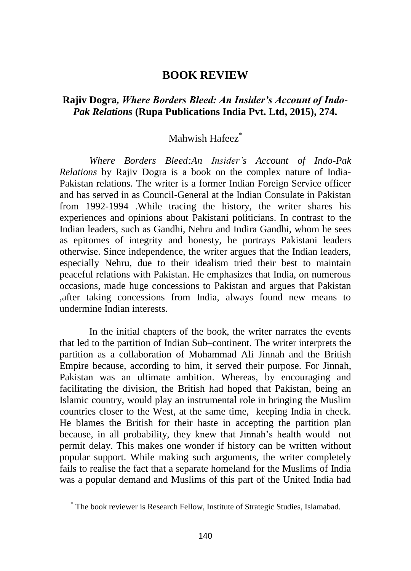## **BOOK REVIEW**

## **Rajiv Dogra***, Where Borders Bleed: An Insider's Account of Indo-Pak Relations* **(Rupa Publications India Pvt. Ltd, 2015), 274.**

## Mahwish Hafeez<sup>\*</sup>

*Where Borders Bleed:An Insider's Account of Indo-Pak Relations* by Rajiv Dogra is a book on the complex nature of India-Pakistan relations. The writer is a former Indian Foreign Service officer and has served in as Council-General at the Indian Consulate in Pakistan from 1992-1994 .While tracing the history, the writer shares his experiences and opinions about Pakistani politicians. In contrast to the Indian leaders, such as Gandhi, Nehru and Indira Gandhi, whom he sees as epitomes of integrity and honesty, he portrays Pakistani leaders otherwise. Since independence, the writer argues that the Indian leaders, especially Nehru, due to their idealism tried their best to maintain peaceful relations with Pakistan. He emphasizes that India, on numerous occasions, made huge concessions to Pakistan and argues that Pakistan ,after taking concessions from India, always found new means to undermine Indian interests.

In the initial chapters of the book, the writer narrates the events that led to the partition of Indian Sub–continent. The writer interprets the partition as a collaboration of Mohammad Ali Jinnah and the British Empire because, according to him, it served their purpose. For Jinnah, Pakistan was an ultimate ambition. Whereas, by encouraging and facilitating the division, the British had hoped that Pakistan, being an Islamic country, would play an instrumental role in bringing the Muslim countries closer to the West, at the same time, keeping India in check. He blames the British for their haste in accepting the partition plan because, in all probability, they knew that Jinnah's health would not permit delay. This makes one wonder if history can be written without popular support. While making such arguments, the writer completely fails to realise the fact that a separate homeland for the Muslims of India was a popular demand and Muslims of this part of the United India had

<sup>\*</sup> The book reviewer is Research Fellow, Institute of Strategic Studies, Islamabad.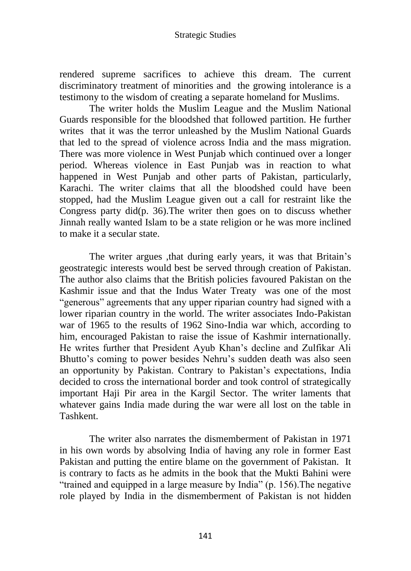rendered supreme sacrifices to achieve this dream. The current discriminatory treatment of minorities and the growing intolerance is a testimony to the wisdom of creating a separate homeland for Muslims.

The writer holds the Muslim League and the Muslim National Guards responsible for the bloodshed that followed partition. He further writes that it was the terror unleashed by the Muslim National Guards that led to the spread of violence across India and the mass migration. There was more violence in West Punjab which continued over a longer period. Whereas violence in East Punjab was in reaction to what happened in West Punjab and other parts of Pakistan, particularly, Karachi. The writer claims that all the bloodshed could have been stopped, had the Muslim League given out a call for restraint like the Congress party did(p. 36).The writer then goes on to discuss whether Jinnah really wanted Islam to be a state religion or he was more inclined to make it a secular state.

The writer argues , that during early years, it was that Britain's geostrategic interests would best be served through creation of Pakistan. The author also claims that the British policies favoured Pakistan on the Kashmir issue and that the Indus Water Treaty was one of the most "generous" agreements that any upper riparian country had signed with a lower riparian country in the world. The writer associates Indo-Pakistan war of 1965 to the results of 1962 Sino-India war which, according to him, encouraged Pakistan to raise the issue of Kashmir internationally. He writes further that President Ayub Khan's decline and Zulfikar Ali Bhutto's coming to power besides Nehru's sudden death was also seen an opportunity by Pakistan. Contrary to Pakistan's expectations, India decided to cross the international border and took control of strategically important Haji Pir area in the Kargil Sector. The writer laments that whatever gains India made during the war were all lost on the table in Tashkent.

The writer also narrates the dismemberment of Pakistan in 1971 in his own words by absolving India of having any role in former East Pakistan and putting the entire blame on the government of Pakistan. It is contrary to facts as he admits in the book that the Mukti Bahini were "trained and equipped in a large measure by India" (p. 156).The negative role played by India in the dismemberment of Pakistan is not hidden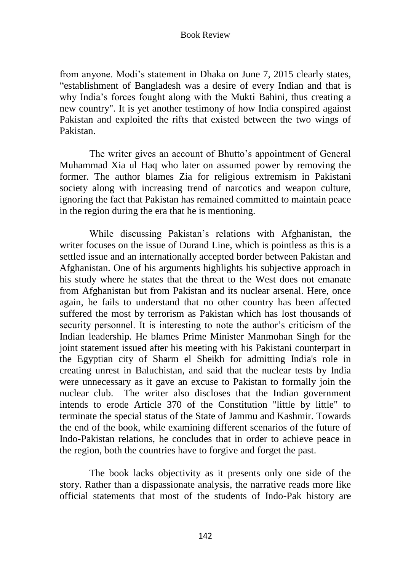## Book Review

from anyone. Modi's statement in Dhaka on June 7, 2015 clearly states, "establishment of Bangladesh was a desire of every Indian and that is why India's forces fought along with the Mukti Bahini, thus creating a new country". It is yet another testimony of how India conspired against Pakistan and exploited the rifts that existed between the two wings of Pakistan.

The writer gives an account of Bhutto's appointment of General Muhammad Xia ul Haq who later on assumed power by removing the former. The author blames Zia for religious extremism in Pakistani society along with increasing trend of narcotics and weapon culture, ignoring the fact that Pakistan has remained committed to maintain peace in the region during the era that he is mentioning.

While discussing Pakistan's relations with Afghanistan, the writer focuses on the issue of Durand Line, which is pointless as this is a settled issue and an internationally accepted border between Pakistan and Afghanistan. One of his arguments highlights his subjective approach in his study where he states that the threat to the West does not emanate from Afghanistan but from Pakistan and its nuclear arsenal. Here, once again, he fails to understand that no other country has been affected suffered the most by terrorism as Pakistan which has lost thousands of security personnel. It is interesting to note the author's criticism of the Indian leadership. He blames Prime Minister Manmohan Singh for the joint statement issued after his meeting with his Pakistani counterpart in the Egyptian city of Sharm el Sheikh for admitting India's role in creating unrest in Baluchistan, and said that the nuclear tests by India were unnecessary as it gave an excuse to Pakistan to formally join the nuclear club. The writer also discloses that the Indian government intends to erode Article 370 of the Constitution "little by little" to terminate the special status of the State of Jammu and Kashmir. Towards the end of the book, while examining different scenarios of the future of Indo-Pakistan relations, he concludes that in order to achieve peace in the region, both the countries have to forgive and forget the past.

The book lacks objectivity as it presents only one side of the story. Rather than a dispassionate analysis, the narrative reads more like official statements that most of the students of Indo-Pak history are